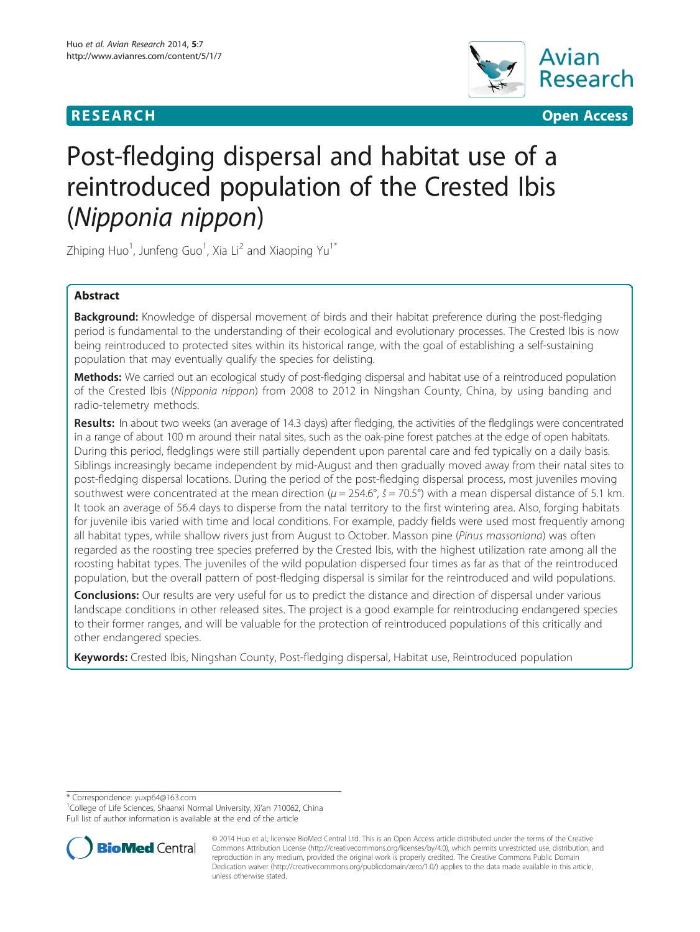## **RESEARCH CHEAR CHEAR CHEAR CHEAR CHEAR CHEAR CHEAR CHEAR CHEAR CHEAR CHEAR CHEAR CHEAR CHEAR CHEAR CHEAR CHEAR**



# Post-fledging dispersal and habitat use of a reintroduced population of the Crested Ibis (Nipponia nippon)

Zhiping Huo<sup>1</sup>, Junfeng Guo<sup>1</sup>, Xia Li<sup>2</sup> and Xiaoping Yu<sup>1\*</sup>

## Abstract

Background: Knowledge of dispersal movement of birds and their habitat preference during the post-fledging period is fundamental to the understanding of their ecological and evolutionary processes. The Crested Ibis is now being reintroduced to protected sites within its historical range, with the goal of establishing a self-sustaining population that may eventually qualify the species for delisting.

Methods: We carried out an ecological study of post-fledging dispersal and habitat use of a reintroduced population of the Crested Ibis (Nipponia nippon) from 2008 to 2012 in Ningshan County, China, by using banding and radio-telemetry methods.

Results: In about two weeks (an average of 14.3 days) after fledging, the activities of the fledglings were concentrated in a range of about 100 m around their natal sites, such as the oak-pine forest patches at the edge of open habitats. During this period, fledglings were still partially dependent upon parental care and fed typically on a daily basis. Siblings increasingly became independent by mid-August and then gradually moved away from their natal sites to post-fledging dispersal locations. During the period of the post-fledging dispersal process, most juveniles moving southwest were concentrated at the mean direction ( $\mu = 254.6^\circ$ ,  $\xi = 70.5^\circ$ ) with a mean dispersal distance of 5.1 km. It took an average of 56.4 days to disperse from the natal territory to the first wintering area. Also, forging habitats for juvenile ibis varied with time and local conditions. For example, paddy fields were used most frequently among all habitat types, while shallow rivers just from August to October. Masson pine (Pinus massoniana) was often regarded as the roosting tree species preferred by the Crested Ibis, with the highest utilization rate among all the roosting habitat types. The juveniles of the wild population dispersed four times as far as that of the reintroduced population, but the overall pattern of post-fledging dispersal is similar for the reintroduced and wild populations.

**Conclusions:** Our results are very useful for us to predict the distance and direction of dispersal under various landscape conditions in other released sites. The project is a good example for reintroducing endangered species to their former ranges, and will be valuable for the protection of reintroduced populations of this critically and other endangered species.

Keywords: Crested Ibis, Ningshan County, Post-fledging dispersal, Habitat use, Reintroduced population

\* Correspondence: [yuxp64@163.com](mailto:yuxp64@163.com) <sup>1</sup>

<sup>1</sup>College of Life Sciences, Shaanxi Normal University, Xi'an 710062, China Full list of author information is available at the end of the article



<sup>© 2014</sup> Huo et al.; licensee BioMed Central Ltd. This is an Open Access article distributed under the terms of the Creative Commons Attribution License [\(http://creativecommons.org/licenses/by/4.0\)](http://creativecommons.org/licenses/by/4.0), which permits unrestricted use, distribution, and reproduction in any medium, provided the original work is properly credited. The Creative Commons Public Domain Dedication waiver [\(http://creativecommons.org/publicdomain/zero/1.0/](http://creativecommons.org/publicdomain/zero/1.0/)) applies to the data made available in this article, unless otherwise stated.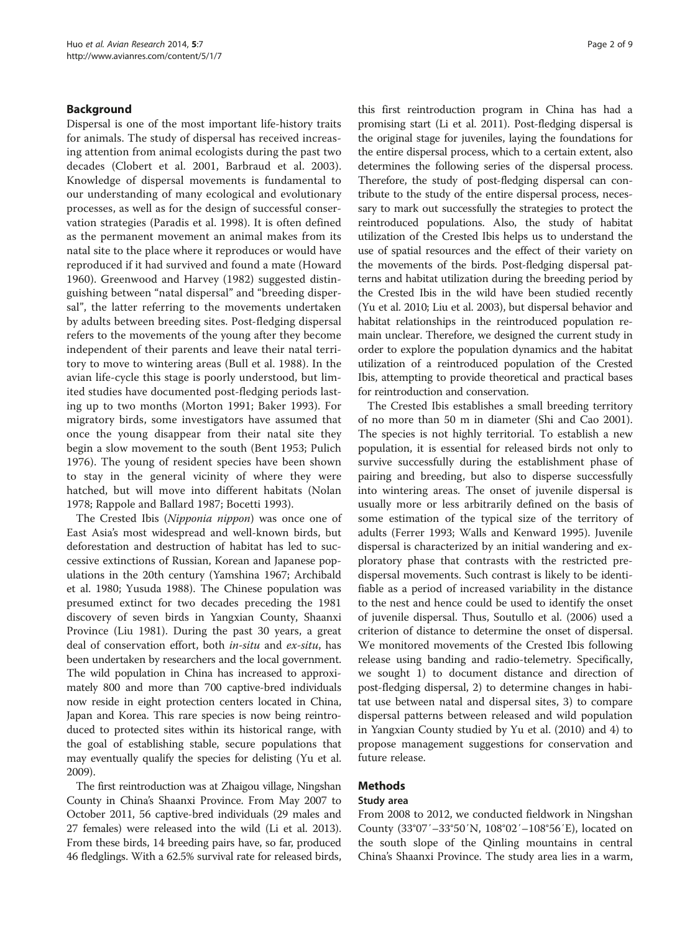## Background

Dispersal is one of the most important life-history traits for animals. The study of dispersal has received increasing attention from animal ecologists during the past two decades (Clobert et al. [2001](#page-7-0), Barbraud et al. [2003](#page-7-0)). Knowledge of dispersal movements is fundamental to our understanding of many ecological and evolutionary processes, as well as for the design of successful conservation strategies (Paradis et al. [1998](#page-7-0)). It is often defined as the permanent movement an animal makes from its natal site to the place where it reproduces or would have reproduced if it had survived and found a mate (Howard [1960\)](#page-7-0). Greenwood and Harvey ([1982](#page-7-0)) suggested distinguishing between "natal dispersal" and "breeding dispersal", the latter referring to the movements undertaken by adults between breeding sites. Post-fledging dispersal refers to the movements of the young after they become independent of their parents and leave their natal territory to move to wintering areas (Bull et al. [1988](#page-7-0)). In the avian life-cycle this stage is poorly understood, but limited studies have documented post-fledging periods lasting up to two months (Morton [1991;](#page-7-0) Baker [1993](#page-7-0)). For migratory birds, some investigators have assumed that once the young disappear from their natal site they begin a slow movement to the south (Bent [1953](#page-7-0); Pulich [1976\)](#page-7-0). The young of resident species have been shown to stay in the general vicinity of where they were hatched, but will move into different habitats (Nolan [1978;](#page-7-0) Rappole and Ballard [1987;](#page-7-0) Bocetti [1993\)](#page-7-0).

The Crested Ibis (Nipponia nippon) was once one of East Asia's most widespread and well-known birds, but deforestation and destruction of habitat has led to successive extinctions of Russian, Korean and Japanese populations in the 20th century (Yamshina [1967](#page-7-0); Archibald et al. [1980](#page-7-0); Yusuda [1988](#page-7-0)). The Chinese population was presumed extinct for two decades preceding the 1981 discovery of seven birds in Yangxian County, Shaanxi Province (Liu [1981\)](#page-7-0). During the past 30 years, a great deal of conservation effort, both in-situ and ex-situ, has been undertaken by researchers and the local government. The wild population in China has increased to approximately 800 and more than 700 captive-bred individuals now reside in eight protection centers located in China, Japan and Korea. This rare species is now being reintroduced to protected sites within its historical range, with the goal of establishing stable, secure populations that may eventually qualify the species for delisting (Yu et al. [2009\)](#page-7-0).

The first reintroduction was at Zhaigou village, Ningshan County in China's Shaanxi Province. From May 2007 to October 2011, 56 captive-bred individuals (29 males and 27 females) were released into the wild (Li et al. [2013](#page-7-0)). From these birds, 14 breeding pairs have, so far, produced 46 fledglings. With a 62.5% survival rate for released birds,

this first reintroduction program in China has had a promising start (Li et al. [2011\)](#page-7-0). Post-fledging dispersal is the original stage for juveniles, laying the foundations for the entire dispersal process, which to a certain extent, also determines the following series of the dispersal process. Therefore, the study of post-fledging dispersal can contribute to the study of the entire dispersal process, necessary to mark out successfully the strategies to protect the reintroduced populations. Also, the study of habitat utilization of the Crested Ibis helps us to understand the use of spatial resources and the effect of their variety on the movements of the birds. Post-fledging dispersal patterns and habitat utilization during the breeding period by the Crested Ibis in the wild have been studied recently (Yu et al. [2010](#page-7-0); Liu et al. [2003](#page-7-0)), but dispersal behavior and habitat relationships in the reintroduced population remain unclear. Therefore, we designed the current study in order to explore the population dynamics and the habitat utilization of a reintroduced population of the Crested Ibis, attempting to provide theoretical and practical bases for reintroduction and conservation.

The Crested Ibis establishes a small breeding territory of no more than 50 m in diameter (Shi and Cao [2001](#page-7-0)). The species is not highly territorial. To establish a new population, it is essential for released birds not only to survive successfully during the establishment phase of pairing and breeding, but also to disperse successfully into wintering areas. The onset of juvenile dispersal is usually more or less arbitrarily defined on the basis of some estimation of the typical size of the territory of adults (Ferrer [1993;](#page-7-0) Walls and Kenward [1995](#page-7-0)). Juvenile dispersal is characterized by an initial wandering and exploratory phase that contrasts with the restricted predispersal movements. Such contrast is likely to be identifiable as a period of increased variability in the distance to the nest and hence could be used to identify the onset of juvenile dispersal. Thus, Soutullo et al. [\(2006\)](#page-7-0) used a criterion of distance to determine the onset of dispersal. We monitored movements of the Crested Ibis following release using banding and radio-telemetry. Specifically, we sought 1) to document distance and direction of post-fledging dispersal, 2) to determine changes in habitat use between natal and dispersal sites, 3) to compare dispersal patterns between released and wild population in Yangxian County studied by Yu et al. [\(2010\)](#page-7-0) and 4) to propose management suggestions for conservation and future release.

## Methods

## Study area

From 2008 to 2012, we conducted fieldwork in Ningshan County (33°07′–33°50′N, 108°02′–108°56′E), located on the south slope of the Qinling mountains in central China's Shaanxi Province. The study area lies in a warm,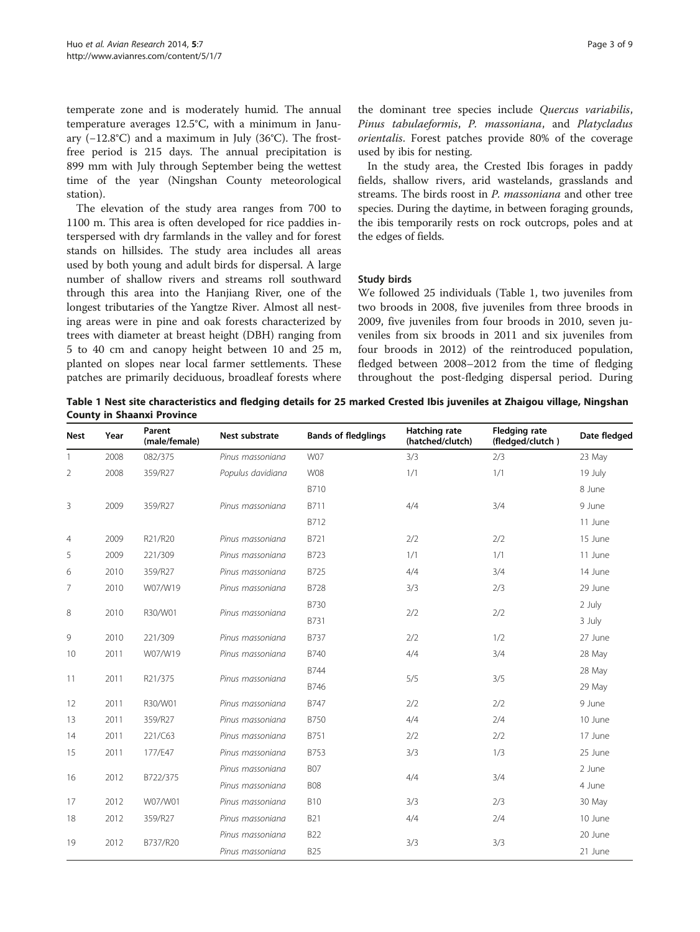<span id="page-2-0"></span>temperate zone and is moderately humid. The annual temperature averages 12.5°C, with a minimum in January (−12.8°C) and a maximum in July (36°C). The frostfree period is 215 days. The annual precipitation is 899 mm with July through September being the wettest time of the year (Ningshan County meteorological station).

The elevation of the study area ranges from 700 to 1100 m. This area is often developed for rice paddies interspersed with dry farmlands in the valley and for forest stands on hillsides. The study area includes all areas used by both young and adult birds for dispersal. A large number of shallow rivers and streams roll southward through this area into the Hanjiang River, one of the longest tributaries of the Yangtze River. Almost all nesting areas were in pine and oak forests characterized by trees with diameter at breast height (DBH) ranging from 5 to 40 cm and canopy height between 10 and 25 m, planted on slopes near local farmer settlements. These patches are primarily deciduous, broadleaf forests where

the dominant tree species include Quercus variabilis, Pinus tabulaeformis, P. massoniana, and Platycladus orientalis. Forest patches provide 80% of the coverage used by ibis for nesting.

In the study area, the Crested Ibis forages in paddy fields, shallow rivers, arid wastelands, grasslands and streams. The birds roost in P. massoniana and other tree species. During the daytime, in between foraging grounds, the ibis temporarily rests on rock outcrops, poles and at the edges of fields.

### Study birds

We followed 25 individuals (Table 1, two juveniles from two broods in 2008, five juveniles from three broods in 2009, five juveniles from four broods in 2010, seven juveniles from six broods in 2011 and six juveniles from four broods in 2012) of the reintroduced population, fledged between 2008–2012 from the time of fledging throughout the post-fledging dispersal period. During

Table 1 Nest site characteristics and fledging details for 25 marked Crested Ibis juveniles at Zhaigou village, Ningshan County in Shaanxi Province

| <b>Nest</b>    | Year | Parent<br>(male/female) | Nest substrate    | <b>Bands of fledglings</b> | Hatching rate<br>(hatched/clutch) | <b>Fledging rate</b><br>(fledged/clutch) | Date fledged |
|----------------|------|-------------------------|-------------------|----------------------------|-----------------------------------|------------------------------------------|--------------|
| $\mathbf{1}$   | 2008 | 082/375                 | Pinus massoniana  | <b>W07</b>                 | 3/3                               | 2/3                                      | 23 May       |
| $\overline{2}$ | 2008 | 359/R27                 | Populus davidiana | <b>W08</b>                 | 1/1                               | 1/1                                      | 19 July      |
|                |      |                         |                   | B710                       |                                   |                                          | 8 June       |
| 3              | 2009 | 359/R27                 | Pinus massoniana  | B711                       | 4/4                               | 3/4                                      | 9 June       |
|                |      |                         |                   | B712                       |                                   |                                          | 11 June      |
| 4              | 2009 | R21/R20                 | Pinus massoniana  | B721                       | 2/2                               | 2/2                                      | 15 June      |
| 5              | 2009 | 221/309                 | Pinus massoniana  | B723                       | 1/1                               | 1/1                                      | 11 June      |
| 6              | 2010 | 359/R27                 | Pinus massoniana  | B725                       | 4/4                               | 3/4                                      | 14 June      |
| 7              | 2010 | W07/W19                 | Pinus massoniana  | B728                       | 3/3                               | 2/3                                      | 29 June      |
| 8              | 2010 | R30/W01                 | Pinus massoniana  | B730                       | 2/2                               | 2/2                                      | 2 July       |
|                |      |                         |                   | B731                       |                                   |                                          | 3 July       |
| 9              | 2010 | 221/309                 | Pinus massoniana  | B737                       | 2/2                               | 1/2                                      | 27 June      |
| 10             | 2011 | W07/W19                 | Pinus massoniana  | <b>B740</b>                | 4/4                               | 3/4                                      | 28 May       |
| 11             | 2011 | R21/375                 | Pinus massoniana  | B744                       | 5/5                               | 3/5                                      | 28 May       |
|                |      |                         |                   | B746                       |                                   |                                          | 29 May       |
| 12             | 2011 | R30/W01                 | Pinus massoniana  | B747                       | 2/2                               | 2/2                                      | 9 June       |
| 13             | 2011 | 359/R27                 | Pinus massoniana  | B750                       | 4/4                               | 2/4                                      | 10 June      |
| 14             | 2011 | 221/C63                 | Pinus massoniana  | B751                       | 2/2                               | 2/2                                      | 17 June      |
| 15             | 2011 | 177/E47                 | Pinus massoniana  | B753                       | 3/3                               | 1/3                                      | 25 June      |
| 16             | 2012 | B722/375                | Pinus massoniana  | <b>B07</b>                 | 4/4                               | 3/4                                      | 2 June       |
|                |      |                         | Pinus massoniana  | <b>B08</b>                 |                                   |                                          | 4 June       |
| 17             | 2012 | W07/W01                 | Pinus massoniana  | <b>B10</b>                 | 3/3                               | 2/3                                      | 30 May       |
| 18             | 2012 | 359/R27                 | Pinus massoniana  | <b>B21</b>                 | 4/4                               | 2/4                                      | 10 June      |
| 19             | 2012 | B737/R20                | Pinus massoniana  | <b>B22</b>                 | 3/3                               | 3/3                                      | 20 June      |
|                |      |                         | Pinus massoniana  | <b>B25</b>                 |                                   |                                          | 21 June      |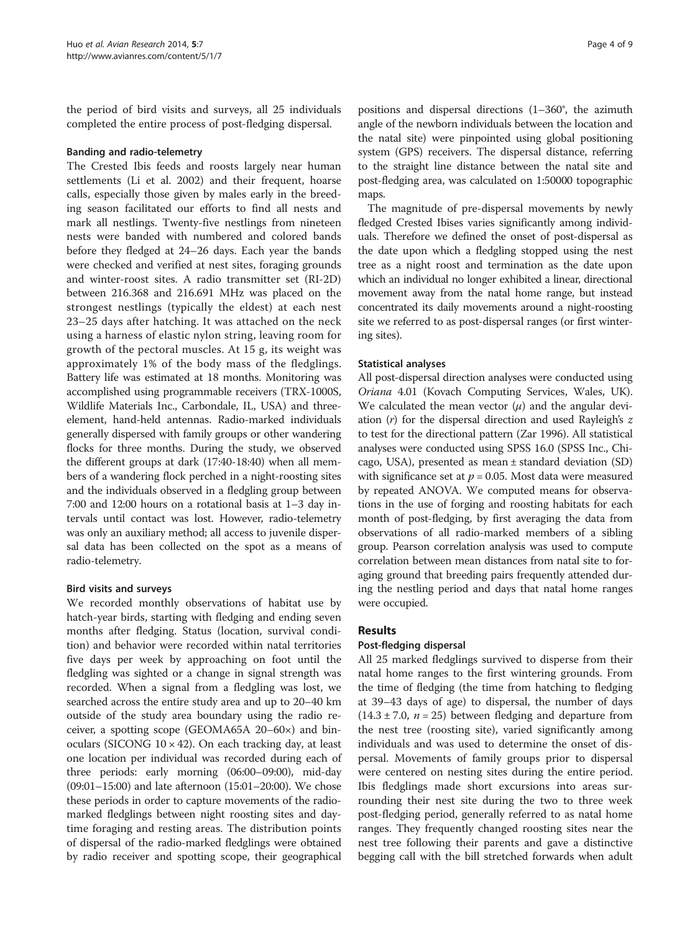the period of bird visits and surveys, all 25 individuals completed the entire process of post-fledging dispersal.

#### Banding and radio-telemetry

The Crested Ibis feeds and roosts largely near human settlements (Li et al. [2002](#page-7-0)) and their frequent, hoarse calls, especially those given by males early in the breeding season facilitated our efforts to find all nests and mark all nestlings. Twenty-five nestlings from nineteen nests were banded with numbered and colored bands before they fledged at 24–26 days. Each year the bands were checked and verified at nest sites, foraging grounds and winter-roost sites. A radio transmitter set (RI-2D) between 216.368 and 216.691 MHz was placed on the strongest nestlings (typically the eldest) at each nest 23–25 days after hatching. It was attached on the neck using a harness of elastic nylon string, leaving room for growth of the pectoral muscles. At 15 g, its weight was approximately 1% of the body mass of the fledglings. Battery life was estimated at 18 months. Monitoring was accomplished using programmable receivers (TRX-1000S, Wildlife Materials Inc., Carbondale, IL, USA) and threeelement, hand-held antennas. Radio-marked individuals generally dispersed with family groups or other wandering flocks for three months. During the study, we observed the different groups at dark (17:40-18:40) when all members of a wandering flock perched in a night-roosting sites and the individuals observed in a fledgling group between 7:00 and 12:00 hours on a rotational basis at 1–3 day intervals until contact was lost. However, radio-telemetry was only an auxiliary method; all access to juvenile dispersal data has been collected on the spot as a means of radio-telemetry.

#### Bird visits and surveys

We recorded monthly observations of habitat use by hatch-year birds, starting with fledging and ending seven months after fledging. Status (location, survival condition) and behavior were recorded within natal territories five days per week by approaching on foot until the fledgling was sighted or a change in signal strength was recorded. When a signal from a fledgling was lost, we searched across the entire study area and up to 20–40 km outside of the study area boundary using the radio receiver, a spotting scope (GEOMA65A 20–60×) and binoculars (SICONG  $10 \times 42$ ). On each tracking day, at least one location per individual was recorded during each of three periods: early morning (06:00–09:00), mid-day (09:01–15:00) and late afternoon (15:01–20:00). We chose these periods in order to capture movements of the radiomarked fledglings between night roosting sites and daytime foraging and resting areas. The distribution points of dispersal of the radio-marked fledglings were obtained by radio receiver and spotting scope, their geographical

positions and dispersal directions (1–360°, the azimuth angle of the newborn individuals between the location and the natal site) were pinpointed using global positioning system (GPS) receivers. The dispersal distance, referring to the straight line distance between the natal site and post-fledging area, was calculated on 1:50000 topographic maps.

The magnitude of pre-dispersal movements by newly fledged Crested Ibises varies significantly among individuals. Therefore we defined the onset of post-dispersal as the date upon which a fledgling stopped using the nest tree as a night roost and termination as the date upon which an individual no longer exhibited a linear, directional movement away from the natal home range, but instead concentrated its daily movements around a night-roosting site we referred to as post-dispersal ranges (or first wintering sites).

### Statistical analyses

All post-dispersal direction analyses were conducted using Oriana 4.01 (Kovach Computing Services, Wales, UK). We calculated the mean vector  $(\mu)$  and the angular deviation  $(r)$  for the dispersal direction and used Rayleigh's z to test for the directional pattern (Zar [1996\)](#page-8-0). All statistical analyses were conducted using SPSS 16.0 (SPSS Inc., Chicago, USA), presented as mean ± standard deviation (SD) with significance set at  $p = 0.05$ . Most data were measured by repeated ANOVA. We computed means for observations in the use of forging and roosting habitats for each month of post-fledging, by first averaging the data from observations of all radio-marked members of a sibling group. Pearson correlation analysis was used to compute correlation between mean distances from natal site to foraging ground that breeding pairs frequently attended during the nestling period and days that natal home ranges were occupied.

## Results

#### Post-fledging dispersal

All 25 marked fledglings survived to disperse from their natal home ranges to the first wintering grounds. From the time of fledging (the time from hatching to fledging at 39–43 days of age) to dispersal, the number of days  $(14.3 \pm 7.0, n = 25)$  between fledging and departure from the nest tree (roosting site), varied significantly among individuals and was used to determine the onset of dispersal. Movements of family groups prior to dispersal were centered on nesting sites during the entire period. Ibis fledglings made short excursions into areas surrounding their nest site during the two to three week post-fledging period, generally referred to as natal home ranges. They frequently changed roosting sites near the nest tree following their parents and gave a distinctive begging call with the bill stretched forwards when adult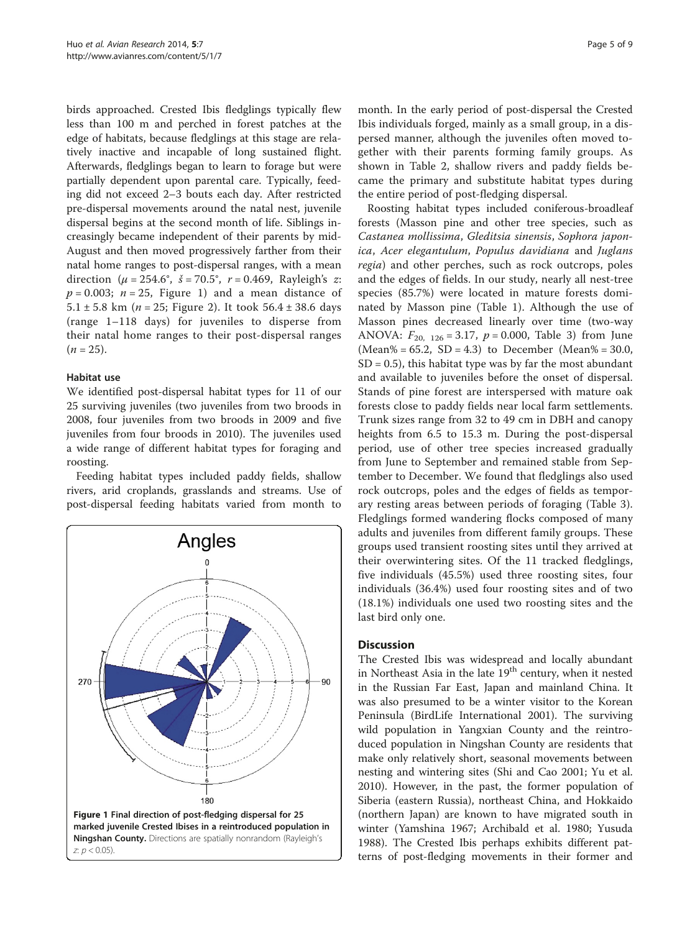birds approached. Crested Ibis fledglings typically flew less than 100 m and perched in forest patches at the edge of habitats, because fledglings at this stage are relatively inactive and incapable of long sustained flight. Afterwards, fledglings began to learn to forage but were partially dependent upon parental care. Typically, feeding did not exceed 2–3 bouts each day. After restricted pre-dispersal movements around the natal nest, juvenile dispersal begins at the second month of life. Siblings increasingly became independent of their parents by mid-August and then moved progressively farther from their natal home ranges to post-dispersal ranges, with a mean direction ( $\mu = 254.6^{\circ}$ ,  $\check{s} = 70.5^{\circ}$ ,  $r = 0.469$ , Rayleigh's z:  $p = 0.003$ ;  $n = 25$ , Figure 1) and a mean distance of 5.1  $\pm$  5.8 km (*n* = 25; Figure [2\)](#page-5-0). It took 56.4  $\pm$  38.6 days (range 1–118 days) for juveniles to disperse from their natal home ranges to their post-dispersal ranges  $(n = 25)$ .

## Habitat use

We identified post-dispersal habitat types for 11 of our 25 surviving juveniles (two juveniles from two broods in 2008, four juveniles from two broods in 2009 and five juveniles from four broods in 2010). The juveniles used a wide range of different habitat types for foraging and roosting.

Feeding habitat types included paddy fields, shallow rivers, arid croplands, grasslands and streams. Use of post-dispersal feeding habitats varied from month to



month. In the early period of post-dispersal the Crested Ibis individuals forged, mainly as a small group, in a dispersed manner, although the juveniles often moved together with their parents forming family groups. As shown in Table [2](#page-5-0), shallow rivers and paddy fields became the primary and substitute habitat types during the entire period of post-fledging dispersal.

Roosting habitat types included coniferous-broadleaf forests (Masson pine and other tree species, such as Castanea mollissima, Gleditsia sinensis, Sophora japonica, Acer elegantulum, Populus davidiana and Juglans regia) and other perches, such as rock outcrops, poles and the edges of fields. In our study, nearly all nest-tree species (85.7%) were located in mature forests dominated by Masson pine (Table [1\)](#page-2-0). Although the use of Masson pines decreased linearly over time (two-way ANOVA:  $F_{20, 126} = 3.17$  $F_{20, 126} = 3.17$  $F_{20, 126} = 3.17$ ,  $p = 0.000$ , Table 3) from June  $(Mean% = 65.2, SD = 4.3)$  to December  $(Mean% = 30.0,$  $SD = 0.5$ ), this habitat type was by far the most abundant and available to juveniles before the onset of dispersal. Stands of pine forest are interspersed with mature oak forests close to paddy fields near local farm settlements. Trunk sizes range from 32 to 49 cm in DBH and canopy heights from 6.5 to 15.3 m. During the post-dispersal period, use of other tree species increased gradually from June to September and remained stable from September to December. We found that fledglings also used rock outcrops, poles and the edges of fields as temporary resting areas between periods of foraging (Table [3](#page-6-0)). Fledglings formed wandering flocks composed of many adults and juveniles from different family groups. These groups used transient roosting sites until they arrived at their overwintering sites. Of the 11 tracked fledglings, five individuals (45.5%) used three roosting sites, four individuals (36.4%) used four roosting sites and of two (18.1%) individuals one used two roosting sites and the last bird only one.

### **Discussion**

The Crested Ibis was widespread and locally abundant in Northeast Asia in the late 19<sup>th</sup> century, when it nested in the Russian Far East, Japan and mainland China. It was also presumed to be a winter visitor to the Korean Peninsula (BirdLife International [2001\)](#page-7-0). The surviving wild population in Yangxian County and the reintroduced population in Ningshan County are residents that make only relatively short, seasonal movements between nesting and wintering sites (Shi and Cao [2001;](#page-7-0) Yu et al. [2010](#page-7-0)). However, in the past, the former population of Siberia (eastern Russia), northeast China, and Hokkaido (northern Japan) are known to have migrated south in winter (Yamshina [1967](#page-7-0); Archibald et al. [1980](#page-7-0); Yusuda [1988](#page-7-0)). The Crested Ibis perhaps exhibits different patterns of post-fledging movements in their former and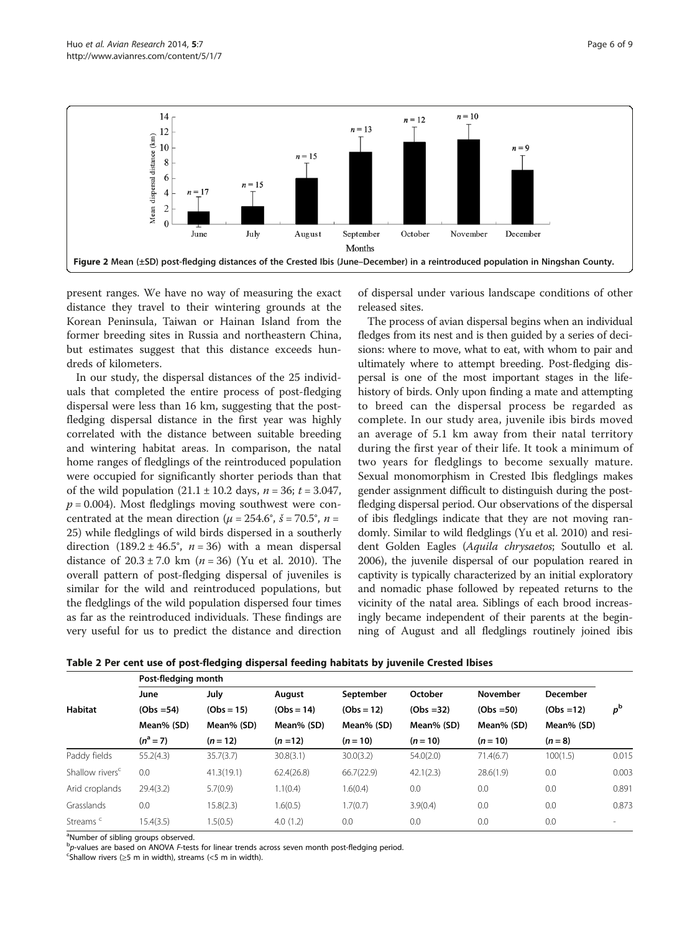<span id="page-5-0"></span>

present ranges. We have no way of measuring the exact distance they travel to their wintering grounds at the Korean Peninsula, Taiwan or Hainan Island from the former breeding sites in Russia and northeastern China, but estimates suggest that this distance exceeds hundreds of kilometers.

In our study, the dispersal distances of the 25 individuals that completed the entire process of post-fledging dispersal were less than 16 km, suggesting that the postfledging dispersal distance in the first year was highly correlated with the distance between suitable breeding and wintering habitat areas. In comparison, the natal home ranges of fledglings of the reintroduced population were occupied for significantly shorter periods than that of the wild population  $(21.1 \pm 10.2 \text{ days}, n = 36; t = 3.047,$  $p = 0.004$ ). Most fledglings moving southwest were concentrated at the mean direction ( $\mu = 254.6^{\circ}$ ,  $\dot{s} = 70.5^{\circ}$ ,  $n =$ 25) while fledglings of wild birds dispersed in a southerly direction (189.2 ± 46.5°,  $n = 36$ ) with a mean dispersal distance of  $20.3 \pm 7.0$  km ( $n = 36$ ) (Yu et al. [2010\)](#page-7-0). The overall pattern of post-fledging dispersal of juveniles is similar for the wild and reintroduced populations, but the fledglings of the wild population dispersed four times as far as the reintroduced individuals. These findings are very useful for us to predict the distance and direction of dispersal under various landscape conditions of other released sites.

The process of avian dispersal begins when an individual fledges from its nest and is then guided by a series of decisions: where to move, what to eat, with whom to pair and ultimately where to attempt breeding. Post-fledging dispersal is one of the most important stages in the lifehistory of birds. Only upon finding a mate and attempting to breed can the dispersal process be regarded as complete. In our study area, juvenile ibis birds moved an average of 5.1 km away from their natal territory during the first year of their life. It took a minimum of two years for fledglings to become sexually mature. Sexual monomorphism in Crested Ibis fledglings makes gender assignment difficult to distinguish during the postfledging dispersal period. Our observations of the dispersal of ibis fledglings indicate that they are not moving randomly. Similar to wild fledglings (Yu et al. [2010](#page-7-0)) and resident Golden Eagles (Aquila chrysaetos; Soutullo et al. [2006\)](#page-7-0), the juvenile dispersal of our population reared in captivity is typically characterized by an initial exploratory and nomadic phase followed by repeated returns to the vicinity of the natal area. Siblings of each brood increasingly became independent of their parents at the beginning of August and all fledglings routinely joined ibis

|  |  |  | Table 2 Per cent use of post-fledging dispersal feeding habitats by juvenile Crested Ibises |  |
|--|--|--|---------------------------------------------------------------------------------------------|--|
|--|--|--|---------------------------------------------------------------------------------------------|--|

| Post-fledging month                       |                                                  |                                                    |                                                       |                                                     |                                                             |                                                          |                          |
|-------------------------------------------|--------------------------------------------------|----------------------------------------------------|-------------------------------------------------------|-----------------------------------------------------|-------------------------------------------------------------|----------------------------------------------------------|--------------------------|
| June                                      | July<br>$(Obs = 15)$<br>Mean% (SD)<br>$(n = 12)$ | August<br>$(Obs = 14)$<br>Mean% (SD)<br>$(n = 12)$ | September<br>$(Obs = 12)$<br>Mean% (SD)<br>$(n = 10)$ | October<br>$(Obs = 32)$<br>Mean% (SD)<br>$(n = 10)$ | <b>November</b><br>$(Obs = 50)$<br>Mean% (SD)<br>$(n = 10)$ | <b>December</b><br>$(Obs = 12)$<br>Mean% (SD)<br>$(n=8)$ | $p^{\rm b}$              |
| $(Obs = 54)$<br>Mean% (SD)<br>$(n^a = 7)$ |                                                  |                                                    |                                                       |                                                     |                                                             |                                                          |                          |
|                                           |                                                  |                                                    |                                                       |                                                     |                                                             |                                                          |                          |
|                                           |                                                  |                                                    |                                                       |                                                     |                                                             |                                                          | 55.2(4.3)                |
| 0.0                                       | 41.3(19.1)                                       | 62.4(26.8)                                         | 66.7(22.9)                                            | 42.1(2.3)                                           | 28.6(1.9)                                                   | 0.0                                                      | 0.003                    |
| 29.4(3.2)                                 | 5.7(0.9)                                         | 1.1(0.4)                                           | 1.6(0.4)                                              | 0.0                                                 | 0.0                                                         | 0.0                                                      | 0.891                    |
| 0.0                                       | 15.8(2.3)                                        | 1.6(0.5)                                           | 1.7(0.7)                                              | 3.9(0.4)                                            | 0.0                                                         | 0.0                                                      | 0.873                    |
| 15.4(3.5)                                 | 1.5(0.5)                                         | 4.0(1.2)                                           | 0.0                                                   | 0.0                                                 | 0.0                                                         | 0.0                                                      | $\overline{\phantom{a}}$ |
|                                           |                                                  |                                                    |                                                       |                                                     |                                                             |                                                          |                          |

<sup>a</sup>Number of sibling groups observed.

b<sub>p</sub>-values are based on ANOVA F-tests for linear trends across seven month post-fledging period.<br><sup>CS</sup>hallow rivers (S5 m in width), streams (C5 m in width)

 $\epsilon$ Shallow rivers ( $\geq$ 5 m in width), streams (<5 m in width).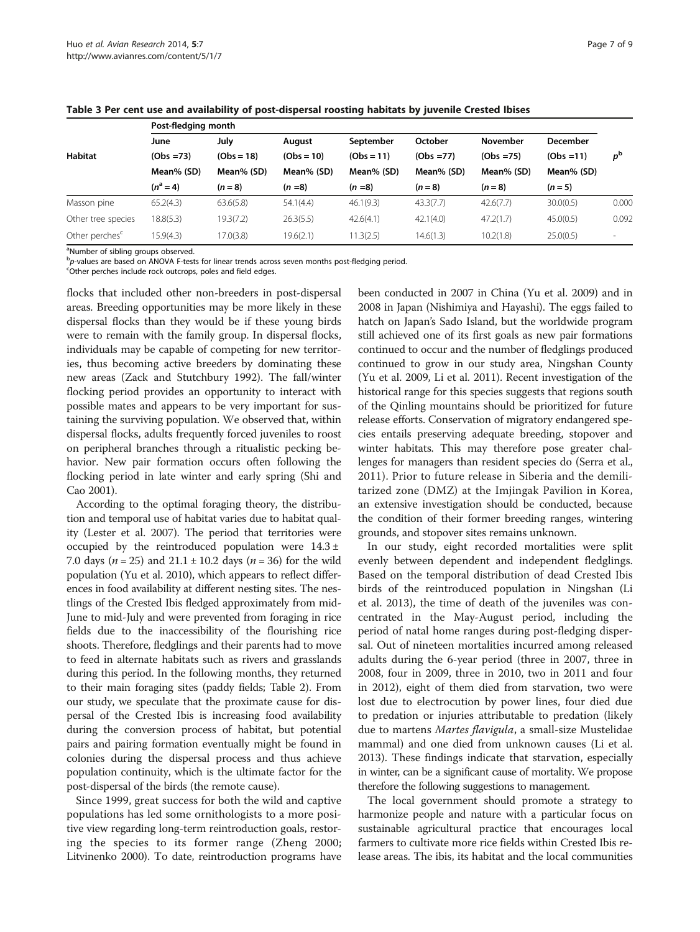|                            | Post-fledging month                               |                                               |                                                   |                                                      |                                                    |                                                   |                                                            |             |
|----------------------------|---------------------------------------------------|-----------------------------------------------|---------------------------------------------------|------------------------------------------------------|----------------------------------------------------|---------------------------------------------------|------------------------------------------------------------|-------------|
|                            | June<br>$(Obs = 73)$<br>Mean% (SD)<br>$(n^a = 4)$ | July<br>$(Obs = 18)$<br>Mean% (SD)<br>$(n=8)$ | August<br>$(Obs = 10)$<br>Mean% (SD)<br>$(n = 8)$ | September<br>$(Obs = 11)$<br>Mean% (SD)<br>$(n = 8)$ | October<br>$(Obs = 77)$<br>Mean% (SD)<br>$(n = 8)$ | November<br>$(Obs = 75)$<br>Mean% (SD)<br>$(n=8)$ | <b>December</b><br>$(Obs = 11)$<br>Mean% (SD)<br>$(n = 5)$ | $p^{\rm b}$ |
| <b>Habitat</b>             |                                                   |                                               |                                                   |                                                      |                                                    |                                                   |                                                            |             |
|                            |                                                   |                                               |                                                   |                                                      |                                                    |                                                   |                                                            |             |
|                            |                                                   |                                               |                                                   |                                                      |                                                    |                                                   |                                                            |             |
| Masson pine                | 65.2(4.3)                                         | 63.6(5.8)                                     | 54.1(4.4)                                         | 46.1(9.3)                                            | 43.3(7.7)                                          | 42.6(7.7)                                         | 30.0(0.5)                                                  | 0.000       |
| Other tree species         | 18.8(5.3)                                         | 19.3(7.2)                                     | 26.3(5.5)                                         | 42.6(4.1)                                            | 42.1(4.0)                                          | 47.2(1.7)                                         | 45.0(0.5)                                                  | 0.092       |
| Other perches <sup>c</sup> | 15.9(4.3)                                         | 17.0(3.8)                                     | 19.6(2.1)                                         | 1.3(2.5)                                             | 14.6(1.3)                                          | 10.2(1.8)                                         | 25.0(0.5)                                                  | ۰           |

<span id="page-6-0"></span>Table 3 Per cent use and availability of post-dispersal roosting habitats by juvenile Crested Ibises

<sup>a</sup>Number of sibling groups observed.

b<sub>p</sub>-values are based on ANOVA F-tests for linear trends across seven months post-fledging period.<br><sup>C</sup>Other perches include rock outcrops, poles and field edges

Other perches include rock outcrops, poles and field edges.

flocks that included other non-breeders in post-dispersal areas. Breeding opportunities may be more likely in these dispersal flocks than they would be if these young birds were to remain with the family group. In dispersal flocks, individuals may be capable of competing for new territories, thus becoming active breeders by dominating these new areas (Zack and Stutchbury [1992\)](#page-7-0). The fall/winter flocking period provides an opportunity to interact with possible mates and appears to be very important for sustaining the surviving population. We observed that, within dispersal flocks, adults frequently forced juveniles to roost on peripheral branches through a ritualistic pecking behavior. New pair formation occurs often following the flocking period in late winter and early spring (Shi and Cao [2001\)](#page-7-0).

According to the optimal foraging theory, the distribution and temporal use of habitat varies due to habitat quality (Lester et al. [2007\)](#page-7-0). The period that territories were occupied by the reintroduced population were  $14.3 \pm$ 7.0 days ( $n = 25$ ) and 21.1 ± 10.2 days ( $n = 36$ ) for the wild population (Yu et al. [2010](#page-7-0)), which appears to reflect differences in food availability at different nesting sites. The nestlings of the Crested Ibis fledged approximately from mid-June to mid-July and were prevented from foraging in rice fields due to the inaccessibility of the flourishing rice shoots. Therefore, fledglings and their parents had to move to feed in alternate habitats such as rivers and grasslands during this period. In the following months, they returned to their main foraging sites (paddy fields; Table [2\)](#page-5-0). From our study, we speculate that the proximate cause for dispersal of the Crested Ibis is increasing food availability during the conversion process of habitat, but potential pairs and pairing formation eventually might be found in colonies during the dispersal process and thus achieve population continuity, which is the ultimate factor for the post-dispersal of the birds (the remote cause).

Since 1999, great success for both the wild and captive populations has led some ornithologists to a more positive view regarding long-term reintroduction goals, restoring the species to its former range (Zheng [2000](#page-8-0); Litvinenko [2000](#page-7-0)). To date, reintroduction programs have

been conducted in 2007 in China (Yu et al. [2009\)](#page-7-0) and in 2008 in Japan ([Nishimiya and Hayashi\)](#page-7-0). The eggs failed to hatch on Japan's Sado Island, but the worldwide program still achieved one of its first goals as new pair formations continued to occur and the number of fledglings produced continued to grow in our study area, Ningshan County (Yu et al. [2009](#page-7-0), Li et al. [2011](#page-7-0)). Recent investigation of the historical range for this species suggests that regions south of the Qinling mountains should be prioritized for future release efforts. Conservation of migratory endangered species entails preserving adequate breeding, stopover and winter habitats. This may therefore pose greater challenges for managers than resident species do (Serra et al., [2011](#page-7-0)). Prior to future release in Siberia and the demilitarized zone (DMZ) at the Imjingak Pavilion in Korea, an extensive investigation should be conducted, because the condition of their former breeding ranges, wintering grounds, and stopover sites remains unknown.

In our study, eight recorded mortalities were split evenly between dependent and independent fledglings. Based on the temporal distribution of dead Crested Ibis birds of the reintroduced population in Ningshan (Li et al. [2013](#page-7-0)), the time of death of the juveniles was concentrated in the May-August period, including the period of natal home ranges during post-fledging dispersal. Out of nineteen mortalities incurred among released adults during the 6-year period (three in 2007, three in 2008, four in 2009, three in 2010, two in 2011 and four in 2012), eight of them died from starvation, two were lost due to electrocution by power lines, four died due to predation or injuries attributable to predation (likely due to martens Martes flavigula, a small-size Mustelidae mammal) and one died from unknown causes (Li et al. [2013](#page-7-0)). These findings indicate that starvation, especially in winter, can be a significant cause of mortality. We propose therefore the following suggestions to management.

The local government should promote a strategy to harmonize people and nature with a particular focus on sustainable agricultural practice that encourages local farmers to cultivate more rice fields within Crested Ibis release areas. The ibis, its habitat and the local communities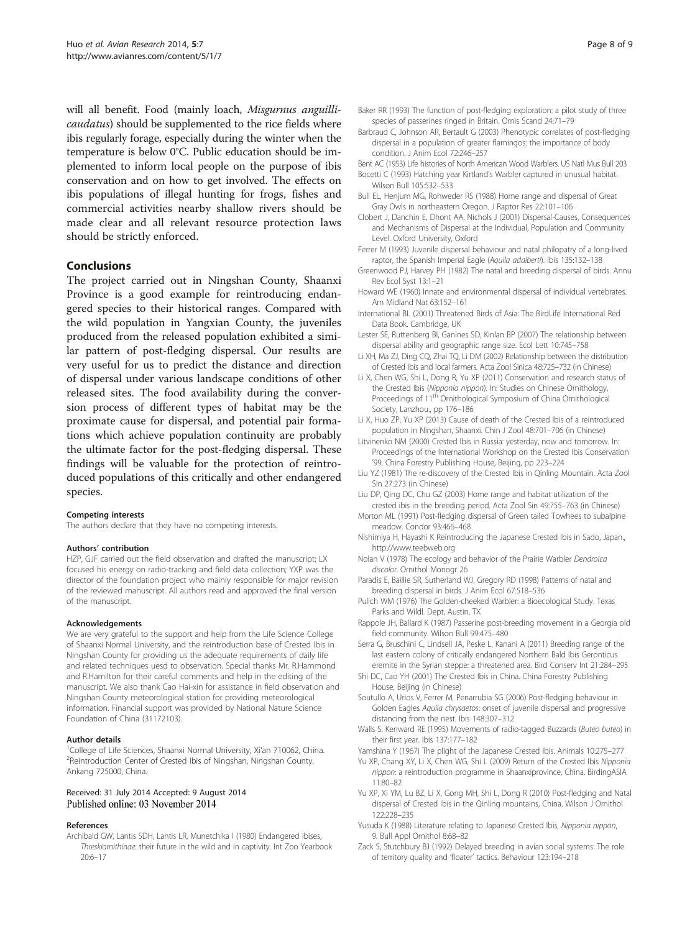<span id="page-7-0"></span>will all benefit. Food (mainly loach, Misgurnus anguillicaudatus) should be supplemented to the rice fields where ibis regularly forage, especially during the winter when the temperature is below 0°C. Public education should be implemented to inform local people on the purpose of ibis conservation and on how to get involved. The effects on ibis populations of illegal hunting for frogs, fishes and commercial activities nearby shallow rivers should be made clear and all relevant resource protection laws should be strictly enforced.

#### Conclusions

The project carried out in Ningshan County, Shaanxi Province is a good example for reintroducing endangered species to their historical ranges. Compared with the wild population in Yangxian County, the juveniles produced from the released population exhibited a similar pattern of post-fledging dispersal. Our results are very useful for us to predict the distance and direction of dispersal under various landscape conditions of other released sites. The food availability during the conversion process of different types of habitat may be the proximate cause for dispersal, and potential pair formations which achieve population continuity are probably the ultimate factor for the post-fledging dispersal. These findings will be valuable for the protection of reintroduced populations of this critically and other endangered species.

#### Competing interests

The authors declare that they have no competing interests.

#### Authors' contribution

HZP, GJF carried out the field observation and drafted the manuscript; LX focused his energy on radio-tracking and field data collection; YXP was the director of the foundation project who mainly responsible for major revision of the reviewed manuscript. All authors read and approved the final version of the manuscript.

#### Acknowledgements

We are very grateful to the support and help from the Life Science College of Shaanxi Normal University, and the reintroduction base of Crested Ibis in Ningshan County for providing us the adequate requirements of daily life and related techniques uesd to observation. Special thanks Mr. R.Hammond and R.Hamilton for their careful comments and help in the editing of the manuscript. We also thank Cao Hai-xin for assistance in field observation and Ningshan County meteorological station for providing meteorological information. Financial support was provided by National Nature Science Foundation of China (31172103).

#### Author details

<sup>1</sup>College of Life Sciences, Shaanxi Normal University, Xi'an 710062, China.<br><sup>2</sup>Peintreduction Conter of Crested Ibis of Ningsban, Ningsban County. <sup>2</sup>Reintroduction Center of Crested Ibis of Ningshan, Ningshan County, Ankang 725000, China.

#### Received: 31 July 2014 Accepted: 9 August 2014 Published online: 03 November 2014

#### References

Archibald GW, Lantis SDH, Lantis LR, Munetchika I (1980) Endangered ibises, Threskiornithinae: their future in the wild and in captivity. Int Zoo Yearbook 20:6–17

- Baker RR (1993) The function of post-fledging exploration: a pilot study of three species of passerines ringed in Britain. Ornis Scand 24:71–79
- Barbraud C, Johnson AR, Bertault G (2003) Phenotypic correlates of post-fledging dispersal in a population of greater flamingos: the importance of body condition. J Anim Ecol 72:246–257
- Bent AC (1953) Life histories of North American Wood Warblers. US Natl Mus Bull 203
- Bocetti C (1993) Hatching year Kirtland's Warbler captured in unusual habitat. Wilson Bull 105:532–533
- Bull EL, Henjum MG, Rohweder RS (1988) Home range and dispersal of Great Gray Owls in northeastern Oregon. J Raptor Res 22:101–106
- Clobert J, Danchin E, Dhont AA, Nichols J (2001) Dispersal-Causes, Consequences and Mechanisms of Dispersal at the Individual, Population and Community Level. Oxford University, Oxford
- Ferrer M (1993) Juvenile dispersal behaviour and natal philopatry of a long-lived raptor, the Spanish Imperial Eagle (Aquila adalberti). Ibis 135:132–138
- Greenwood PJ, Harvey PH (1982) The natal and breeding dispersal of birds. Annu Rev Ecol Syst 13:1–21
- Howard WE (1960) Innate and environmental dispersal of individual vertebrates. Am Midland Nat 63:152–161
- International BL (2001) Threatened Birds of Asia: The BirdLife International Red Data Book. Cambridge, UK
- Lester SE, Ruttenberg BI, Ganines SD, Kinlan BP (2007) The relationship between dispersal ability and geographic range size. Ecol Lett 10:745–758
- Li XH, Ma ZJ, Ding CQ, Zhai TQ, Li DM (2002) Relationship between the distribution of Crested Ibis and local farmers. Acta Zool Sinica 48:725–732 (in Chinese)
- Li X, Chen WG, Shi L, Dong R, Yu XP (2011) Conservation and research status of the Crested Ibis (Nipponia nippon). In: Studies on Chinese Ornithology, Proceedings of 11th Ornithological Symposium of China Ornithological Society, Lanzhou., pp 176–186
- Li X, Huo ZP, Yu XP (2013) Cause of death of the Crested Ibis of a reintroduced population in Ningshan, Shaanxi. Chin J Zool 48:701–706 (in Chinese)
- Litvinenko NM (2000) Crested Ibis in Russia: yesterday, now and tomorrow. In: Proceedings of the International Workshop on the Crested Ibis Conservation '99. China Forestry Publishing House, Beijing, pp 223–224
- Liu YZ (1981) The re-discovery of the Crested Ibis in Qinling Mountain. Acta Zool Sin 27:273 (in Chinese)
- Liu DP, Qing DC, Chu GZ (2003) Home range and habitat utilization of the crested ibis in the breeding period. Acta Zool Sin 49:755–763 (in Chinese)
- Morton ML (1991) Post-fledging dispersal of Green tailed Towhees to subalpine meadow. Condor 93:466–468
- Nishimiya H, Hayashi K Reintroducing the Japanese Crested Ibis in Sado, Japan., <http://www.teebweb.org>
- Nolan V (1978) The ecology and behavior of the Prairie Warbler Dendroica discolor. Ornithol Monogr 26
- Paradis E, Baillie SR, Sutherland WJ, Gregory RD (1998) Patterns of natal and breeding dispersal in birds. J Anim Ecol 67:518–536
- Pulich WM (1976) The Golden-cheeked Warbler: a Bioecological Study. Texas Parks and Wildl. Dept, Austin, TX
- Rappole JH, Ballard K (1987) Passerine post-breeding movement in a Georgia old field community. Wilson Bull 99:475–480
- Serra G, Bruschini C, Lindsell JA, Peske L, Kanani A (2011) Breeding range of the last eastern colony of critically endangered Northern Bald Ibis Geronticus eremite in the Syrian steppe: a threatened area. Bird Conserv Int 21:284–295
- Shi DC, Cao YH (2001) The Crested Ibis in China. China Forestry Publishing House, Beijing (in Chinese)
- Soutullo A, Urios V, Ferrer M, Penarrubia SG (2006) Post-fledging behaviour in Golden Eagles Aquila chrysaetos: onset of juvenile dispersal and progressive distancing from the nest. Ibis 148:307–312
- Walls S, Kenward RE (1995) Movements of radio-tagged Buzzards (Buteo buteo) in their first year. Ibis 137:177–182
- Yamshina Y (1967) The plight of the Japanese Crested Ibis. Animals 10:275–277
- Yu XP, Chang XY, Li X, Chen WG, Shi L (2009) Return of the Crested Ibis Nipponia nippon: a reintroduction programme in Shaanxiprovince, China. BirdingASIA 11:80–82
- Yu XP, Xi YM, Lu BZ, Li X, Gong MH, Shi L, Dong R (2010) Post-fledging and Natal dispersal of Crested Ibis in the Qinling mountains, China. Wilson J Ornithol 122:228–235
- Yusuda K (1988) Literature relating to Japanese Crested Ibis, Nipponia nippon, 9. Bull Appl Ornithol 8:68–82
- Zack S, Stutchbury BJ (1992) Delayed breeding in avian social systems: The role of territory quality and 'floater' tactics. Behaviour 123:194–218